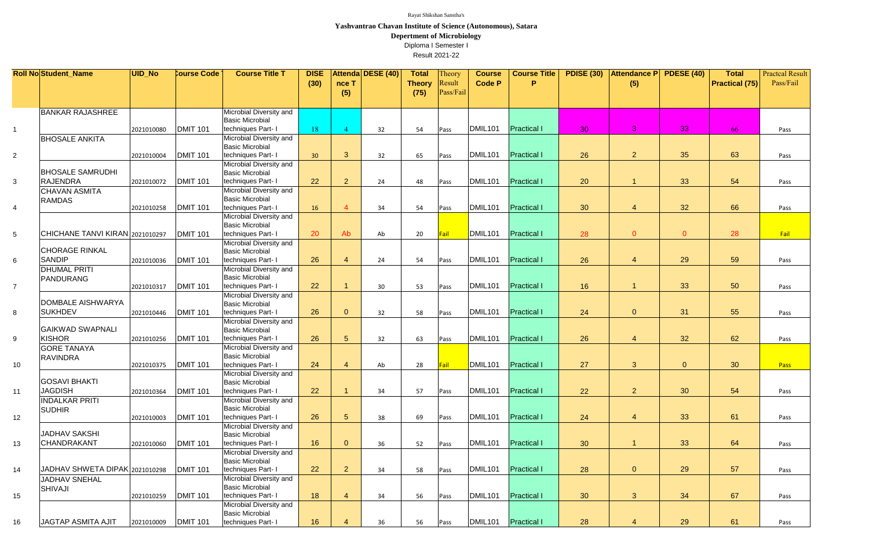|                 | <b>Roll No Student_Name</b>     | UID_No     | <b>Course Code</b> | <b>Course Title T</b>                             | <b>DISE</b> |                        | Attenda DESE (40) | <b>Total</b>  | Theory      | <b>Course</b>       | <b>Course Title</b> | <b>PDISE (30)</b> | Attendance P PDESE (40) |                | <b>Total</b>          | <b>Practcal Result</b> |
|-----------------|---------------------------------|------------|--------------------|---------------------------------------------------|-------------|------------------------|-------------------|---------------|-------------|---------------------|---------------------|-------------------|-------------------------|----------------|-----------------------|------------------------|
|                 |                                 |            |                    |                                                   | (30)        | nce T                  |                   | <b>Theory</b> | Result      | Code P              | P                   |                   | (5)                     |                | <b>Practical (75)</b> | Pass/Fail              |
|                 |                                 |            |                    |                                                   |             | (5)                    |                   | (75)          | Pass/Fail   |                     |                     |                   |                         |                |                       |                        |
|                 |                                 |            |                    |                                                   |             |                        |                   |               |             |                     |                     |                   |                         |                |                       |                        |
|                 | <b>BANKAR RAJASHREE</b>         |            |                    | Microbial Diversity and                           |             |                        |                   |               |             |                     |                     |                   |                         |                |                       |                        |
|                 |                                 |            |                    | <b>Basic Microbial</b>                            |             |                        |                   |               |             |                     |                     |                   |                         |                |                       |                        |
| $\overline{1}$  |                                 | 2021010080 | <b>DMIT 101</b>    | techniques Part-                                  | 18          |                        | 32                | 54            | Pass        | DMIL <sub>101</sub> | <b>Practical I</b>  | 30                | 3                       | 33             | 66                    | Pass                   |
|                 | <b>BHOSALE ANKITA</b>           |            |                    | Microbial Diversity and                           |             |                        |                   |               |             |                     |                     |                   |                         |                |                       |                        |
|                 |                                 |            |                    | <b>Basic Microbial</b>                            |             |                        |                   |               |             |                     |                     |                   |                         |                |                       |                        |
| 2               |                                 | 2021010004 | <b>DMIT 101</b>    | techniques Part- I                                | 30          | 3                      | 32                | 65            | Pass        | DMIL <sub>101</sub> | <b>Practical I</b>  | 26                | $\overline{2}$          | 35             | 63                    | Pass                   |
|                 | <b>BHOSALE SAMRUDHI</b>         |            |                    | Microbial Diversity and                           |             |                        |                   |               |             |                     |                     |                   |                         |                |                       |                        |
|                 | RAJENDRA                        |            |                    | <b>Basic Microbial</b><br>techniques Part- I      | 22          | $\overline{2}$         |                   |               |             | DMIL <sub>101</sub> | <b>Practical I</b>  |                   |                         | 33             | 54                    |                        |
| $\mathbf{3}$    |                                 | 2021010072 | <b>DMIT 101</b>    | Microbial Diversity and                           |             |                        | 24                | 48            | Pass        |                     |                     | 20                |                         |                |                       | Pass                   |
|                 | <b>CHAVAN ASMITA</b>            |            |                    | <b>Basic Microbial</b>                            |             |                        |                   |               |             |                     |                     |                   |                         |                |                       |                        |
| $\overline{4}$  | <b>RAMDAS</b>                   | 2021010258 | <b>DMIT 101</b>    | techniques Part- I                                | 16          | $\boldsymbol{\Lambda}$ | 34                | 54            | Pass        | DMIL <sub>101</sub> | <b>Practical I</b>  | 30                | $\overline{4}$          | 32             | 66                    | Pass                   |
|                 |                                 |            |                    | Microbial Diversity and                           |             |                        |                   |               |             |                     |                     |                   |                         |                |                       |                        |
|                 |                                 |            |                    | <b>Basic Microbial</b>                            |             |                        |                   |               |             |                     |                     |                   |                         |                |                       |                        |
| $5\phantom{.0}$ | CHICHANE TANVI KIRAN 2021010297 |            | <b>DMIT 101</b>    | techniques Part- I                                | 20          | Ab                     | Ab                | 20            | <b>Fail</b> | DMIL101             | <b>Practical I</b>  | 28                | $\overline{0}$          | $\overline{0}$ | 28                    | Fail                   |
|                 |                                 |            |                    | Microbial Diversity and                           |             |                        |                   |               |             |                     |                     |                   |                         |                |                       |                        |
|                 | <b>CHORAGE RINKAL</b>           |            |                    | <b>Basic Microbial</b>                            |             |                        |                   |               |             |                     |                     |                   |                         |                |                       |                        |
| 6               | <b>SANDIP</b>                   | 2021010036 | <b>DMIT 101</b>    | techniques Part- I                                | 26          | $\overline{4}$         | 24                | 54            | Pass        | DMIL <sub>101</sub> | <b>Practical I</b>  | 26                | $\overline{4}$          | 29             | 59                    | Pass                   |
|                 | <b>DHUMAL PRITI</b>             |            |                    | Microbial Diversity and                           |             |                        |                   |               |             |                     |                     |                   |                         |                |                       |                        |
|                 | PANDURANG                       |            |                    | <b>Basic Microbial</b>                            | 22          |                        |                   |               |             | DMIL <sub>101</sub> | <b>Practical I</b>  |                   |                         | 33             |                       |                        |
| $\overline{7}$  |                                 | 2021010317 | <b>DMIT 101</b>    | techniques Part- I<br>Microbial Diversity and     |             |                        | 30                | 53            | Pass        |                     |                     | 16                |                         |                | 50                    | Pass                   |
|                 | DOMBALE AISHWARYA               |            |                    | Basic Microbial                                   |             |                        |                   |               |             |                     |                     |                   |                         |                |                       |                        |
| 8               | <b>SUKHDEV</b>                  | 2021010446 | <b>DMIT 101</b>    | techniques Part- I                                | 26          | $\overline{0}$         | 32                | 58            | Pass        | DMIL <sub>101</sub> | <b>Practical I</b>  | 24                | $\overline{0}$          | 31             | 55                    | Pass                   |
|                 |                                 |            |                    | Microbial Diversity and                           |             |                        |                   |               |             |                     |                     |                   |                         |                |                       |                        |
|                 | GAIKWAD SWAPNALI                |            |                    | <b>Basic Microbial</b>                            |             |                        |                   |               |             |                     |                     |                   |                         |                |                       |                        |
| 9               | <b>KISHOR</b>                   | 2021010256 | <b>DMIT 101</b>    | techniques Part- I                                | 26          | $5\overline{)}$        | 32                | 63            | Pass        | DMIL <sub>101</sub> | <b>Practical I</b>  | 26                | $\overline{4}$          | 32             | 62                    | Pass                   |
|                 | <b>GORE TANAYA</b>              |            |                    | Microbial Diversity and                           |             |                        |                   |               |             |                     |                     |                   |                         |                |                       |                        |
|                 | <b>RAVINDRA</b>                 |            |                    | <b>Basic Microbial</b>                            |             |                        |                   |               |             |                     |                     |                   |                         |                |                       |                        |
| 10              |                                 | 2021010375 | <b>DMIT 101</b>    | techniques Part- I                                | 24          | Δ                      | Ab                | 28            | <b>Fail</b> | DMIL101             | <b>Practical I</b>  | 27                | 3                       | $\overline{0}$ | 30                    | Pass                   |
|                 | <b>GOSAVI BHAKTI</b>            |            |                    | Microbial Diversity and<br><b>Basic Microbial</b> |             |                        |                   |               |             |                     |                     |                   |                         |                |                       |                        |
| 11              | <b>JAGDISH</b>                  | 2021010364 | <b>DMIT 101</b>    | techniques Part- I                                | 22          |                        | 34                | 57            | Pass        | DMIL <sub>101</sub> | <b>Practical I</b>  | 22                | 2 <sup>2</sup>          | 30             | 54                    | Pass                   |
|                 | <b>INDALKAR PRITI</b>           |            |                    | <b>Microbial Diversity and</b>                    |             |                        |                   |               |             |                     |                     |                   |                         |                |                       |                        |
|                 | <b>SUDHIR</b>                   |            |                    | Basic Microbial                                   |             |                        |                   |               |             |                     |                     |                   |                         |                |                       |                        |
| 12              |                                 | 2021010003 | <b>DMIT 101</b>    | techniques Part- I                                | 26          | $5\overline{)}$        | 38                | 69            | Pass        | DMIL101             | <b>Practical I</b>  | 24                | $\overline{4}$          | 33             | 61                    | Pass                   |
|                 |                                 |            |                    | Microbial Diversity and                           |             |                        |                   |               |             |                     |                     |                   |                         |                |                       |                        |
|                 | <b>JADHAV SAKSHI</b>            |            |                    | <b>Basic Microbial</b>                            |             |                        |                   |               |             |                     |                     |                   |                         |                |                       |                        |
| 13              | CHANDRAKANT                     | 2021010060 | <b>DMIT 101</b>    | techniques Part- I                                | 16          | $\overline{0}$         | 36                | 52            | Pass        | DMIL <sub>101</sub> | <b>Practical I</b>  | 30                |                         | 33             | 64                    | Pass                   |
|                 |                                 |            |                    | Microbial Diversity and                           |             |                        |                   |               |             |                     |                     |                   |                         |                |                       |                        |
|                 |                                 |            |                    | <b>Basic Microbial</b>                            |             |                        |                   |               |             |                     |                     |                   |                         |                |                       |                        |
| 14              | JADHAV SHWETA DIPAK 2021010298  |            | <b>DMIT 101</b>    | techniques Part- I                                | 22          | $\overline{2}$         | 34                | 58            | Pass        | DMIL <sub>101</sub> | <b>Practical I</b>  | 28                | $\overline{0}$          | 29             | 57                    | Pass                   |
|                 | <b>JADHAV SNEHAL</b>            |            |                    | Microbial Diversity and<br><b>Basic Microbial</b> |             |                        |                   |               |             |                     |                     |                   |                         |                |                       |                        |
| 15              | SHIVAJI                         | 2021010259 | <b>DMIT 101</b>    | techniques Part- I                                | 18          | 4                      | 34                | 56            | Pass        | DMIL <sub>101</sub> | <b>Practical I</b>  | 30                | 3                       | 34             | 67                    | Pass                   |
|                 |                                 |            |                    | <b>Microbial Diversity and</b>                    |             |                        |                   |               |             |                     |                     |                   |                         |                |                       |                        |
|                 |                                 |            |                    | <b>Basic Microbial</b>                            |             |                        |                   |               |             |                     |                     |                   |                         |                |                       |                        |
| 16              | <b>JAGTAP ASMITA AJIT</b>       | 2021010009 | <b>DMIT 101</b>    | techniques Part- I                                | 16          |                        | 36                | 56            | Pass        | DMIL <sub>101</sub> | <b>Practical I</b>  | 28                | $\overline{4}$          | 29             | 61                    | Pass                   |

.<br>Result 2021-22 Diploma I Semester I

Rayat Shikshan Sanstha's

**Yashvantrao Chavan Institute of Science (Autonomous), Satara**

**Depertment of Microbiology**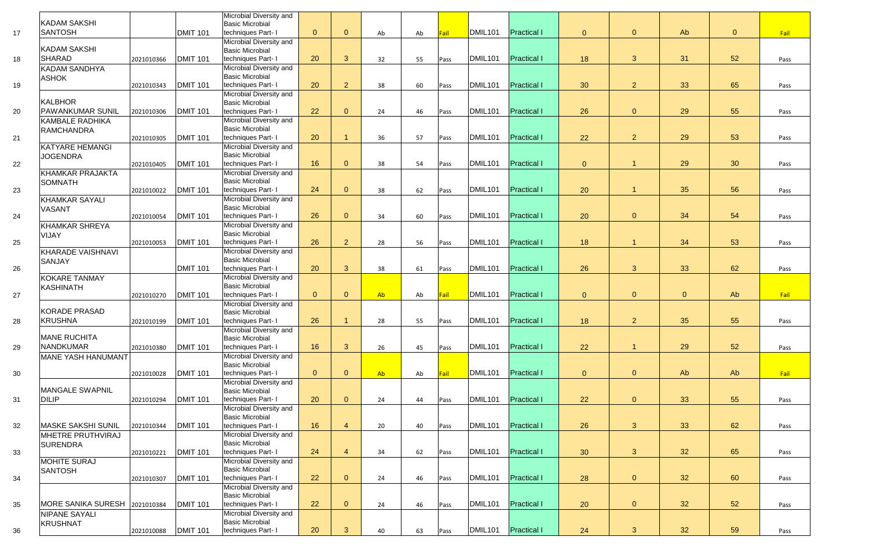|    | <b>KADAM SAKSHI</b>       |            |                 | Microbial Diversity and<br><b>Basic Microbial</b>    |                |                |    |    |      |                     |                    |                |                |                |                |      |
|----|---------------------------|------------|-----------------|------------------------------------------------------|----------------|----------------|----|----|------|---------------------|--------------------|----------------|----------------|----------------|----------------|------|
| 17 | <b>SANTOSH</b>            |            | <b>DMIT 101</b> | techniques Part- I                                   | $\overline{0}$ | $\overline{0}$ | Ab | Ab | Fail | DMIL <sub>101</sub> | <b>Practical I</b> | $\overline{0}$ | $\overline{0}$ | Ab             | $\overline{0}$ | Fail |
|    |                           |            |                 | Microbial Diversity and                              |                |                |    |    |      |                     |                    |                |                |                |                |      |
|    | <b>KADAM SAKSHI</b>       |            |                 | <b>Basic Microbial</b>                               |                |                |    |    |      |                     |                    |                |                |                |                |      |
| 18 | <b>SHARAD</b>             | 2021010366 | <b>DMIT 101</b> | techniques Part- I                                   | 20             | $\mathbf{3}$   | 32 | 55 | Pass | DMIL <sub>101</sub> | <b>Practical I</b> | 18             | 3              | 31             | 52             | Pass |
|    | <b>KADAM SANDHYA</b>      |            |                 | Microbial Diversity and                              |                |                |    |    |      |                     |                    |                |                |                |                |      |
|    | <b>ASHOK</b>              |            |                 | <b>Basic Microbial</b>                               |                |                |    |    |      |                     |                    |                |                |                |                |      |
| 19 |                           | 2021010343 | <b>DMIT 101</b> | techniques Part- I                                   | 20             | $\overline{2}$ | 38 | 60 | Pass | DMIL <sub>101</sub> | <b>Practical I</b> | 30             | $\overline{2}$ | 33             | 65             | Pass |
|    |                           |            |                 | Microbial Diversity and                              |                |                |    |    |      |                     |                    |                |                |                |                |      |
|    | <b>KALBHOR</b>            |            |                 | <b>Basic Microbial</b>                               |                |                |    |    |      |                     |                    |                |                |                |                |      |
| 20 | <b>PAWANKUMAR SUNIL</b>   | 2021010306 | <b>DMIT 101</b> | techniques Part- I                                   | 22             | $\overline{0}$ | 24 | 46 | Pass | DMIL <sub>101</sub> | <b>Practical I</b> | 26             | $\overline{0}$ | 29             | 55             | Pass |
|    | <b>KAMBALE RADHIKA</b>    |            |                 | Microbial Diversity and                              |                |                |    |    |      |                     |                    |                |                |                |                |      |
|    | <b>RAMCHANDRA</b>         |            |                 | <b>Basic Microbial</b>                               |                |                |    |    |      |                     |                    |                |                |                |                |      |
| 21 |                           | 2021010305 | <b>DMIT 101</b> | techniques Part- I                                   | 20             |                | 36 | 57 | Pass | DMIL <sub>101</sub> | <b>Practical I</b> | 22             | 2 <sup>1</sup> | 29             | 53             | Pass |
|    | <b>KATYARE HEMANGI</b>    |            |                 | Microbial Diversity and<br><b>Basic Microbial</b>    |                |                |    |    |      |                     |                    |                |                |                |                |      |
| 22 | <b>JOGENDRA</b>           | 2021010405 | <b>DMIT 101</b> | techniques Part- I                                   | 16             | $\overline{0}$ | 38 | 54 | Pass | DMIL <sub>101</sub> | <b>Practical I</b> | $\overline{0}$ |                | 29             | 30             | Pass |
|    | <b>KHAMKAR PRAJAKTA</b>   |            |                 | <b>Microbial Diversity and</b>                       |                |                |    |    |      |                     |                    |                |                |                |                |      |
|    | <b>SOMNATH</b>            |            |                 | <b>Basic Microbial</b>                               |                |                |    |    |      |                     |                    |                |                |                |                |      |
| 23 |                           | 2021010022 | <b>DMIT 101</b> | techniques Part- I                                   | 24             | $\overline{0}$ | 38 | 62 | Pass | DMIL <sub>101</sub> | <b>Practical I</b> | 20             |                | 35             | 56             | Pass |
|    | <b>KHAMKAR SAYALI</b>     |            |                 | Microbial Diversity and                              |                |                |    |    |      |                     |                    |                |                |                |                |      |
|    | <b>VASANT</b>             |            |                 | <b>Basic Microbial</b>                               |                |                |    |    |      |                     |                    |                |                |                |                |      |
| 24 |                           | 2021010054 | <b>DMIT 101</b> | techniques Part- I                                   | 26             | $\overline{0}$ | 34 | 60 | Pass | DMIL <sub>101</sub> | <b>Practical I</b> | 20             | $\overline{0}$ | 34             | 54             | Pass |
|    | <b>KHAMKAR SHREYA</b>     |            |                 | Microbial Diversity and                              |                |                |    |    |      |                     |                    |                |                |                |                |      |
|    | <b>VIJAY</b>              |            |                 | <b>Basic Microbial</b>                               |                |                |    |    |      |                     |                    |                |                |                |                |      |
| 25 |                           | 2021010053 | <b>DMIT 101</b> | techniques Part- I                                   | 26             | 2 <sup>1</sup> | 28 | 56 | Pass | DMIL <sub>101</sub> | <b>Practical I</b> | 18             |                | 34             | 53             | Pass |
|    | KHARADE VAISHNAVI         |            |                 | Microbial Diversity and<br><b>Basic Microbial</b>    |                |                |    |    |      |                     |                    |                |                |                |                |      |
| 26 | <b>SANJAY</b>             |            | <b>DMIT 101</b> | techniques Part- I                                   | 20             | 3              | 38 | 61 | Pass | DMIL <sub>101</sub> | <b>Practical I</b> | 26             | 3              | 33             | 62             | Pass |
|    | <b>KOKARE TANMAY</b>      |            |                 | Microbial Diversity and                              |                |                |    |    |      |                     |                    |                |                |                |                |      |
|    | <b>KASHINATH</b>          |            |                 | <b>Basic Microbial</b>                               |                |                |    |    |      |                     |                    |                |                |                |                |      |
| 27 |                           | 2021010270 | <b>DMIT 101</b> | techniques Part- I                                   | $\overline{0}$ | $\overline{0}$ | Ab | Ab | Fail | DMIL <sub>101</sub> | <b>Practical I</b> | $\overline{0}$ | $\overline{0}$ | $\overline{0}$ | Ab             | Fail |
|    |                           |            |                 | Microbial Diversity and                              |                |                |    |    |      |                     |                    |                |                |                |                |      |
|    | <b>KORADE PRASAD</b>      |            |                 | <b>Basic Microbial</b>                               |                |                |    |    |      |                     |                    |                |                |                |                |      |
| 28 | <b>KRUSHNA</b>            | 2021010199 | <b>DMIT 101</b> | techniques Part- I                                   | 26             |                | 28 | 55 | Pass | DMIL <sub>101</sub> | <b>Practical I</b> | 18             | 2 <sup>2</sup> | 35             | 55             | Pass |
|    |                           |            |                 | Microbial Diversity and                              |                |                |    |    |      |                     |                    |                |                |                |                |      |
|    | <b>MANE RUCHITA</b>       |            |                 | <b>Basic Microbial</b>                               |                |                |    |    |      |                     |                    |                |                |                |                |      |
| 29 | <b>NANDKUMAR</b>          | 2021010380 | <b>DMIT 101</b> | techniques Part- I                                   | 16             | 3 <sup>5</sup> | 26 | 45 | Pass | DMIL <sub>101</sub> | <b>Practical I</b> | 22             |                | 29             | 52             | Pass |
|    | <b>MANE YASH HANUMANT</b> |            |                 | Microbial Diversity and<br><b>Basic Microbial</b>    |                |                |    |    |      |                     |                    |                |                |                |                |      |
| 30 |                           | 2021010028 | <b>DMIT 101</b> | techniques Part- I                                   | $\overline{0}$ | $\overline{0}$ | Ab | Ab | Fail | DMIL <sub>101</sub> | <b>Practical I</b> | $\overline{0}$ | $\overline{0}$ | Ab             | Ab             | Fail |
|    |                           |            |                 | Microbial Diversity and                              |                |                |    |    |      |                     |                    |                |                |                |                |      |
|    | <b>MANGALE SWAPNIL</b>    |            |                 | <b>Basic Microbial</b>                               |                |                |    |    |      |                     |                    |                |                |                |                |      |
| 31 | <b>DILIP</b>              | 2021010294 | <b>DMIT 101</b> | techniques Part- I                                   | 20             | $\overline{0}$ | 24 | 44 | Pass | DMIL <sub>101</sub> | <b>Practical I</b> | 22             | $\overline{0}$ | 33             | 55             | Pass |
|    |                           |            |                 | Microbial Diversity and                              |                |                |    |    |      |                     |                    |                |                |                |                |      |
|    |                           |            |                 | <b>Basic Microbial</b>                               |                |                |    |    |      |                     |                    |                |                |                |                |      |
| 32 | <b>MASKE SAKSHI SUNIL</b> | 2021010344 | <b>DMIT 101</b> | techniques Part- I                                   | 16             | $\overline{4}$ | 20 | 40 | Pass | DMIL <sub>101</sub> | <b>Practical I</b> | 26             | $\mathbf{3}$   | 33             | 62             | Pass |
|    | MHETRE PRUTHVIRAJ         |            |                 | Microbial Diversity and                              |                |                |    |    |      |                     |                    |                |                |                |                |      |
|    | <b>SURENDRA</b>           |            |                 | <b>Basic Microbial</b>                               |                |                |    |    |      |                     |                    |                |                |                |                |      |
| 33 |                           | 2021010221 | <b>DMIT 101</b> | techniques Part- I<br><b>Microbial Diversity and</b> | 24             | $\overline{4}$ | 34 | 62 | Pass | DMIL <sub>101</sub> | <b>Practical I</b> | 30             | $\mathbf{3}$   | 32             | 65             | Pass |
|    | <b>MOHITE SURAJ</b>       |            |                 | <b>Basic Microbial</b>                               |                |                |    |    |      |                     |                    |                |                |                |                |      |
| 34 | <b>SANTOSH</b>            | 2021010307 | <b>DMIT 101</b> | techniques Part- I                                   | 22             | $\overline{0}$ | 24 | 46 | Pass | DMIL <sub>101</sub> | <b>Practical I</b> | 28             | $\overline{0}$ | 32             | 60             | Pass |
|    |                           |            |                 | <b>Microbial Diversity and</b>                       |                |                |    |    |      |                     |                    |                |                |                |                |      |
|    |                           |            |                 | <b>Basic Microbial</b>                               |                |                |    |    |      |                     |                    |                |                |                |                |      |
| 35 | MORE SANIKA SURESH        | 2021010384 | <b>DMIT 101</b> | techniques Part- I                                   | 22             | $\overline{0}$ | 24 | 46 | Pass | DMIL <sub>101</sub> | <b>Practical I</b> | 20             | $\overline{0}$ | 32             | 52             | Pass |
|    | <b>NIPANE SAYALI</b>      |            |                 | Microbial Diversity and                              |                |                |    |    |      |                     |                    |                |                |                |                |      |
|    | <b>KRUSHNAT</b>           |            |                 | <b>Basic Microbial</b>                               |                |                |    |    |      |                     |                    |                |                |                |                |      |
| 36 |                           | 2021010088 | <b>DMIT 101</b> | techniques Part- I                                   | 20             | 3 <sup>5</sup> | 40 | 63 | Pass | DMIL <sub>101</sub> | <b>Practical I</b> | 24             | 3 <sup>1</sup> | 32             | 59             | Pass |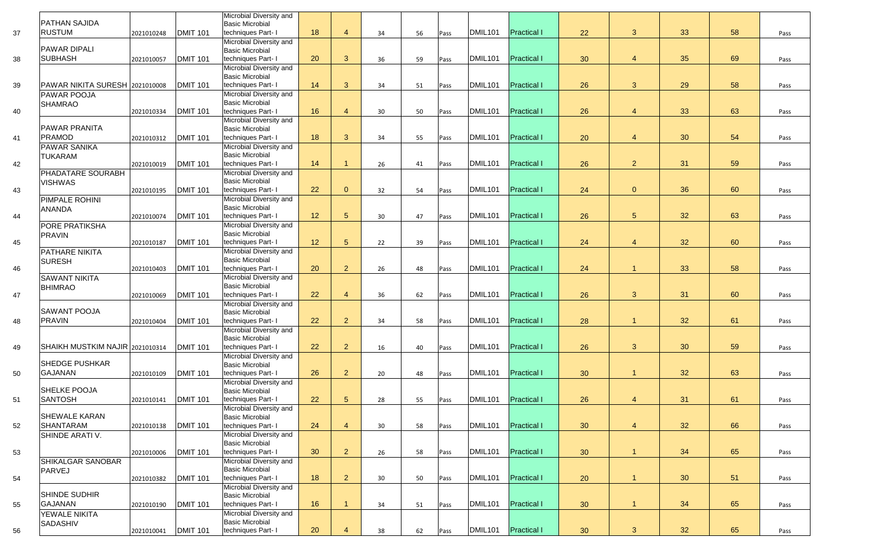|    | <b>PATHAN SAJIDA</b>                  |            |                 | Microbial Diversity and<br><b>Basic Microbial</b>        |    |                            |    |    |      |                     |                    |    |                |    |    |      |
|----|---------------------------------------|------------|-----------------|----------------------------------------------------------|----|----------------------------|----|----|------|---------------------|--------------------|----|----------------|----|----|------|
| 37 | <b>RUSTUM</b>                         | 2021010248 | <b>DMIT 101</b> | techniques Part- I                                       | 18 | $\boldsymbol{\mathcal{A}}$ | 34 | 56 | Pass | DMIL101             | <b>Practical I</b> | 22 | $\mathbf{3}$   | 33 | 58 | Pass |
|    |                                       |            |                 | Microbial Diversity and                                  |    |                            |    |    |      |                     |                    |    |                |    |    |      |
|    | <b>PAWAR DIPALI</b><br><b>SUBHASH</b> |            |                 | <b>Basic Microbial</b>                                   | 20 | $\mathbf{3}$               |    |    |      | DMIL101             | <b>Practical I</b> |    |                | 35 | 69 |      |
| 38 |                                       | 2021010057 | DMIT 101        | techniques Part- I<br>Microbial Diversity and            |    |                            | 36 | 59 | Pass |                     |                    | 30 | $\overline{4}$ |    |    | Pass |
|    |                                       |            |                 | <b>Basic Microbial</b>                                   |    |                            |    |    |      |                     |                    |    |                |    |    |      |
| 39 | PAWAR NIKITA SURESH 2021010008        |            | <b>DMIT 101</b> | techniques Part- I                                       | 14 | 3 <sup>5</sup>             | 34 | 51 | Pass | DMIL <sub>101</sub> | <b>Practical I</b> | 26 | $\mathbf{3}$   | 29 | 58 | Pass |
|    | <b>PAWAR POOJA</b>                    |            |                 | <b>Microbial Diversity and</b>                           |    |                            |    |    |      |                     |                    |    |                |    |    |      |
| 40 | <b>SHAMRAO</b>                        | 2021010334 | <b>DMIT 101</b> | <b>Basic Microbial</b><br>techniques Part- I             | 16 | $\overline{4}$             | 30 | 50 | Pass | DMIL <sub>101</sub> | <b>Practical I</b> | 26 | $\overline{4}$ | 33 | 63 | Pass |
|    |                                       |            |                 | <b>Microbial Diversity and</b>                           |    |                            |    |    |      |                     |                    |    |                |    |    |      |
|    | PAWAR PRANITA                         |            |                 | <b>Basic Microbial</b>                                   |    |                            |    |    |      |                     |                    |    |                |    |    |      |
| 41 | <b>PRAMOD</b>                         | 2021010312 | <b>DMIT 101</b> | techniques Part- I                                       | 18 | 3                          | 34 | 55 | Pass | <b>DMIL101</b>      | <b>Practical I</b> | 20 | $\overline{4}$ | 30 | 54 | Pass |
|    | <b>PAWAR SANIKA</b><br><b>TUKARAM</b> |            |                 | Microbial Diversity and<br><b>Basic Microbial</b>        |    |                            |    |    |      |                     |                    |    |                |    |    |      |
| 42 |                                       | 2021010019 | <b>DMIT 101</b> | techniques Part- I                                       | 14 |                            | 26 | 41 | Pass | DMIL <sub>101</sub> | <b>Practical I</b> | 26 | $\overline{2}$ | 31 | 59 | Pass |
|    | PHADATARE SOURABH                     |            |                 | Microbial Diversity and                                  |    |                            |    |    |      |                     |                    |    |                |    |    |      |
| 43 | <b>VISHWAS</b>                        |            | <b>DMIT 101</b> | <b>Basic Microbial</b><br>techniques Part- I             | 22 | $\overline{0}$             | 32 | 54 |      | DMIL <sub>101</sub> | <b>Practical I</b> | 24 | $\overline{0}$ | 36 | 60 | Pass |
|    | PIMPALE ROHINI                        | 2021010195 |                 | Microbial Diversity and                                  |    |                            |    |    | Pass |                     |                    |    |                |    |    |      |
|    | <b>ANANDA</b>                         |            |                 | <b>Basic Microbial</b>                                   |    |                            |    |    |      |                     |                    |    |                |    |    |      |
| 44 |                                       | 2021010074 | <b>DMIT 101</b> | techniques Part- I                                       | 12 | 5 <sup>5</sup>             | 30 | 47 | Pass | DMIL <sub>101</sub> | <b>Practical I</b> | 26 | 5 <sup>5</sup> | 32 | 63 | Pass |
|    | PORE PRATIKSHA                        |            |                 | <b>Microbial Diversity and</b><br><b>Basic Microbial</b> |    |                            |    |    |      |                     |                    |    |                |    |    |      |
| 45 | <b>PRAVIN</b>                         | 2021010187 | <b>DMIT 101</b> | techniques Part- I                                       | 12 | 5 <sup>5</sup>             | 22 | 39 | Pass | <b>DMIL101</b>      | <b>Practical I</b> | 24 | $\overline{4}$ | 32 | 60 | Pass |
|    | PATHARE NIKITA                        |            |                 | <b>Microbial Diversity and</b>                           |    |                            |    |    |      |                     |                    |    |                |    |    |      |
|    | <b>SURESH</b>                         |            |                 | <b>Basic Microbial</b>                                   |    |                            |    |    |      |                     |                    |    |                |    |    |      |
| 46 | <b>SAWANT NIKITA</b>                  | 2021010403 | <b>DMIT 101</b> | techniques Part- I<br>Microbial Diversity and            | 20 | 2 <sup>1</sup>             | 26 | 48 | Pass | DMIL101             | <b>Practical I</b> | 24 |                | 33 | 58 | Pass |
|    | <b>BHIMRAO</b>                        |            |                 | <b>Basic Microbial</b>                                   |    |                            |    |    |      |                     |                    |    |                |    |    |      |
| 47 |                                       | 2021010069 | <b>DMIT 101</b> | techniques Part- I                                       | 22 | $\boldsymbol{\Delta}$      | 36 | 62 | Pass | <b>DMIL101</b>      | <b>Practical I</b> | 26 | $\mathbf{3}$   | 31 | 60 | Pass |
|    |                                       |            |                 | Microbial Diversity and                                  |    |                            |    |    |      |                     |                    |    |                |    |    |      |
| 48 | <b>SAWANT POOJA</b><br><b>PRAVIN</b>  | 2021010404 | <b>DMIT 101</b> | <b>Basic Microbial</b><br>techniques Part- I             | 22 | $\overline{2}$             | 34 | 58 | Pass | <b>DMIL101</b>      | <b>Practical I</b> | 28 |                | 32 | 61 | Pass |
|    |                                       |            |                 | Microbial Diversity and                                  |    |                            |    |    |      |                     |                    |    |                |    |    |      |
|    |                                       |            |                 | <b>Basic Microbial</b>                                   |    |                            |    |    |      |                     |                    |    |                |    |    |      |
| 49 | SHAIKH MUSTKIM NAJIR 2021010314       |            | <b>DMIT 101</b> | techniques Part- I                                       | 22 | 2 <sup>1</sup>             | 16 | 40 | Pass | DMIL101             | <b>Practical I</b> | 26 | $\mathbf{3}$   | 30 | 59 | Pass |
|    | <b>SHEDGE PUSHKAR</b>                 |            |                 | Microbial Diversity and<br><b>Basic Microbial</b>        |    |                            |    |    |      |                     |                    |    |                |    |    |      |
| 50 | GAJANAN                               | 2021010109 | <b>DMIT 101</b> | techniques Part- I                                       | 26 | 2 <sup>1</sup>             | 20 | 48 | Pass | DMIL101             | <b>Practical I</b> | 30 |                | 32 | 63 | Pass |
|    |                                       |            |                 | Microbial Diversity and                                  |    |                            |    |    |      |                     |                    |    |                |    |    |      |
|    | SHELKE POOJA<br><b>SANTOSH</b>        |            |                 | <b>Basic Microbial</b>                                   | 22 | 5 <sup>5</sup>             |    |    |      | <b>DMIL101</b>      | <b>Practical I</b> |    | $\overline{4}$ | 31 | 61 |      |
| 51 |                                       | 2021010141 | <b>DMIT 101</b> | techniques Part- I<br>Microbial Diversity and            |    |                            | 28 | 55 | Pass |                     |                    | 26 |                |    |    | Pass |
|    | <b>SHEWALE KARAN</b>                  |            |                 | <b>Basic Microbial</b>                                   |    |                            |    |    |      |                     |                    |    |                |    |    |      |
| 52 | <b>SHANTARAM</b>                      | 2021010138 | <b>DMIT 101</b> | techniques Part- I                                       | 24 | $\overline{4}$             | 30 | 58 | Pass | <b>DMIL101</b>      | <b>Practical I</b> | 30 | $\overline{4}$ | 32 | 66 | Pass |
|    | <b>SHINDE ARATI V.</b>                |            |                 | <b>Microbial Diversity and</b><br><b>Basic Microbial</b> |    |                            |    |    |      |                     |                    |    |                |    |    |      |
| 53 |                                       | 2021010006 | <b>DMIT 101</b> | techniques Part- I                                       | 30 | $\overline{2}$             | 26 | 58 | Pass | <b>DMIL101</b>      | <b>Practical I</b> | 30 |                | 34 | 65 | Pass |
|    | <b>SHIKALGAR SANOBAR</b>              |            |                 | Microbial Diversity and                                  |    |                            |    |    |      |                     |                    |    |                |    |    |      |
|    | <b>PARVEJ</b>                         |            |                 | <b>Basic Microbial</b>                                   |    |                            |    |    |      |                     |                    |    |                |    |    |      |
| 54 |                                       | 2021010382 | <b>DMIT 101</b> | techniques Part- I                                       | 18 | $\overline{2}$             | 30 | 50 | Pass | DMIL101             | <b>Practical I</b> | 20 |                | 30 | 51 | Pass |
|    | <b>SHINDE SUDHIR</b>                  |            |                 | Microbial Diversity and<br><b>Basic Microbial</b>        |    |                            |    |    |      |                     |                    |    |                |    |    |      |
| 55 | <b>GAJANAN</b>                        | 2021010190 | <b>DMIT 101</b> | techniques Part- I                                       | 16 |                            | 34 | 51 | Pass | DMIL101             | <b>Practical I</b> | 30 |                | 34 | 65 | Pass |
|    | YEWALE NIKITA                         |            |                 | <b>Microbial Diversity and</b>                           |    |                            |    |    |      |                     |                    |    |                |    |    |      |
| 56 | <b>SADASHIV</b>                       |            | <b>DMIT 101</b> | <b>Basic Microbial</b><br>techniques Part- I             | 20 |                            | 38 | 62 |      | DMIL <sub>101</sub> | <b>Practical I</b> | 30 | $\mathbf{3}$   | 32 | 65 | Pass |
|    |                                       | 2021010041 |                 |                                                          |    |                            |    |    | Pass |                     |                    |    |                |    |    |      |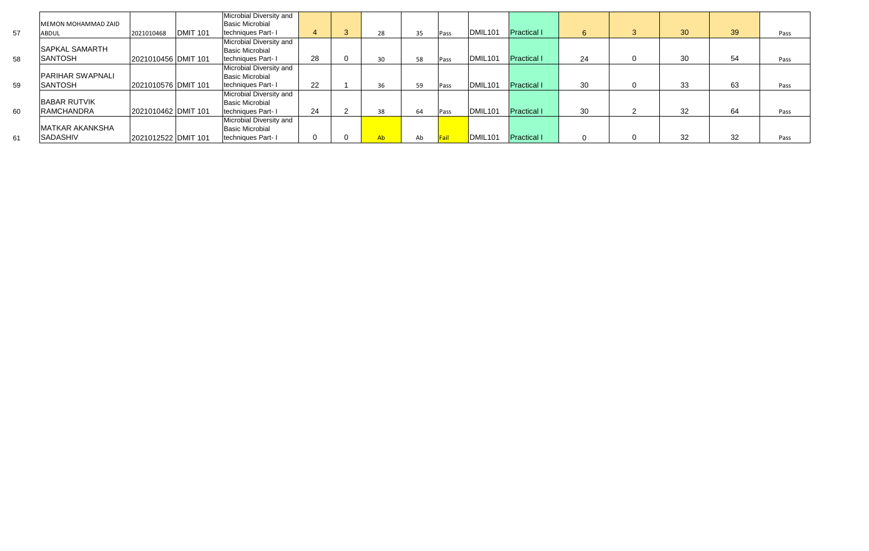|    |                         |                     |                 | Microbial Diversity and |    |    |    |      |                     |                    |    |                |    |    |      |
|----|-------------------------|---------------------|-----------------|-------------------------|----|----|----|------|---------------------|--------------------|----|----------------|----|----|------|
|    | MEMON MOHAMMAD ZAID     |                     |                 | <b>Basic Microbial</b>  |    |    |    |      |                     |                    |    |                |    |    |      |
| 57 | ABDUL                   | 2021010468          | <b>DMIT 101</b> | techniques Part-I       | 4  | 28 | 35 | Pass | DMIL <sub>101</sub> | <b>Practical I</b> |    | 3              | 30 | 39 | Pass |
|    |                         |                     |                 | Microbial Diversity and |    |    |    |      |                     |                    |    |                |    |    |      |
|    | <b>ISAPKAL SAMARTH</b>  |                     |                 | <b>Basic Microbial</b>  |    |    |    |      |                     |                    |    |                |    |    |      |
| 58 | <b>SANTOSH</b>          | 2021010456 DMIT 101 |                 | techniques Part-I       | 28 | 30 | 58 | Pass | DMIL <sub>101</sub> | <b>Practical I</b> | 24 | $\mathbf 0$    | 30 | 54 | Pass |
|    |                         |                     |                 | Microbial Diversity and |    |    |    |      |                     |                    |    |                |    |    |      |
|    | <b>PARIHAR SWAPNALI</b> |                     |                 | <b>Basic Microbial</b>  |    |    |    |      |                     |                    |    |                |    |    |      |
| 59 | <b>SANTOSH</b>          | 2021010576 DMIT 101 |                 | techniques Part-1       | 22 | 36 | 59 | Pass | DMIL <sub>101</sub> | <b>Practical I</b> | 30 | $\overline{0}$ | 33 | 63 | Pass |
|    |                         |                     |                 | Microbial Diversity and |    |    |    |      |                     |                    |    |                |    |    |      |
|    | <b>BABAR RUTVIK</b>     |                     |                 | <b>Basic Microbial</b>  |    |    |    |      |                     |                    |    |                |    |    |      |
| 60 | <b>RAMCHANDRA</b>       | 2021010462 DMIT 101 |                 | techniques Part-1       | 24 | 38 | 64 | Pass | DMIL <sub>101</sub> | <b>Practical I</b> | 30 | ົ              | 32 | 64 | Pass |
|    |                         |                     |                 | Microbial Diversity and |    |    |    |      |                     |                    |    |                |    |    |      |
|    | <b>MATKAR AKANKSHA</b>  |                     |                 | <b>Basic Microbial</b>  |    |    |    |      |                     |                    |    |                |    |    |      |
| 61 | <b>SADASHIV</b>         | 2021012522 DMIT 101 |                 | techniques Part- I      |    | Ab | Ab |      | DMIL <sub>101</sub> | <b>Practical I</b> |    |                | 32 | 32 | Pass |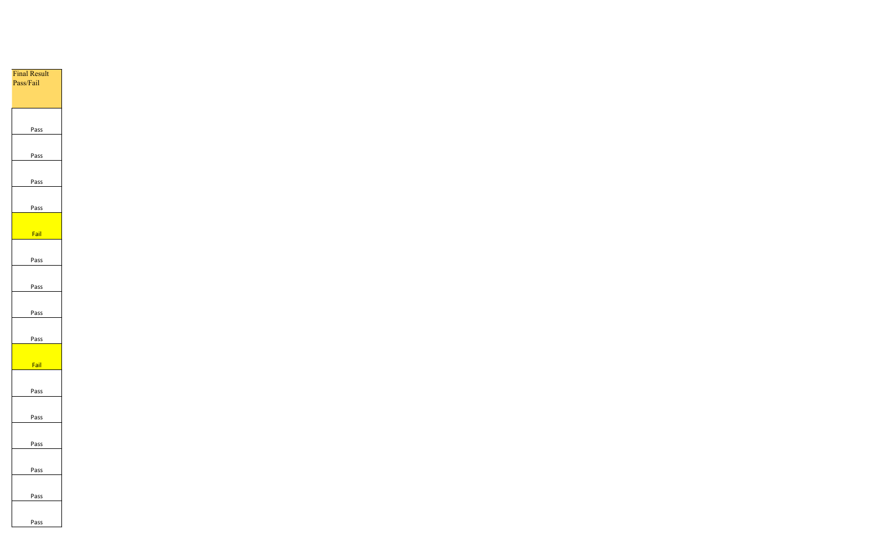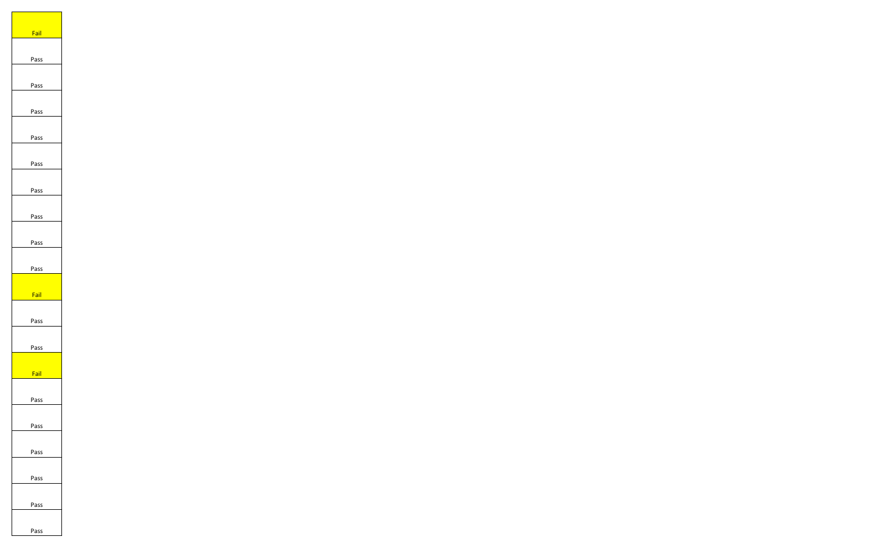| Fail |
|------|
|      |
|      |
| Pass |
|      |
|      |
| Pass |
|      |
|      |
| Pass |
|      |
|      |
| Pass |
|      |
|      |
| Pass |
|      |
|      |
| Pass |
|      |
|      |
| Pass |
|      |
| Pass |
|      |
|      |
| Pass |
|      |
|      |
| Fail |
|      |
|      |
| Pass |
|      |
|      |
| Pass |
|      |
|      |
| Fail |
|      |
|      |
| Pass |
|      |
|      |
| Pass |
|      |
|      |
| Pass |
|      |
|      |
| Pass |
|      |
|      |
| Pass |
|      |
|      |
| Pass |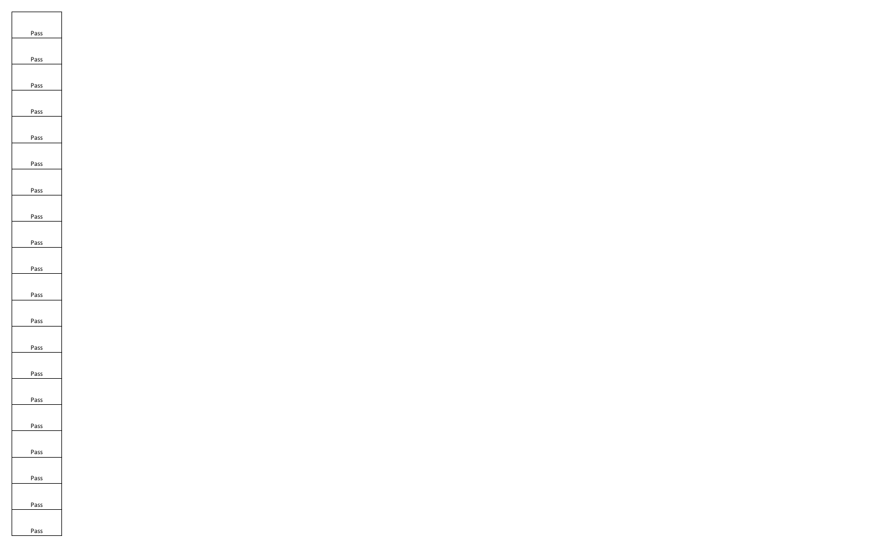| Pass<br>Pass<br>Pass |
|----------------------|
|                      |
|                      |
|                      |
|                      |
|                      |
|                      |
|                      |
|                      |
| Pass                 |
|                      |
| Pass                 |
|                      |
| Pass                 |
|                      |
| Pass                 |
|                      |
| Pass                 |
|                      |
| Pass                 |
|                      |
|                      |
| Pass                 |
|                      |
| Pass                 |
|                      |
| Pass                 |
|                      |
| Pass                 |
|                      |
|                      |
| Pass                 |
|                      |
| Pass                 |
|                      |
| Pass                 |
|                      |
| Pass                 |
|                      |
|                      |
| Pass                 |
|                      |
| Pass                 |
|                      |